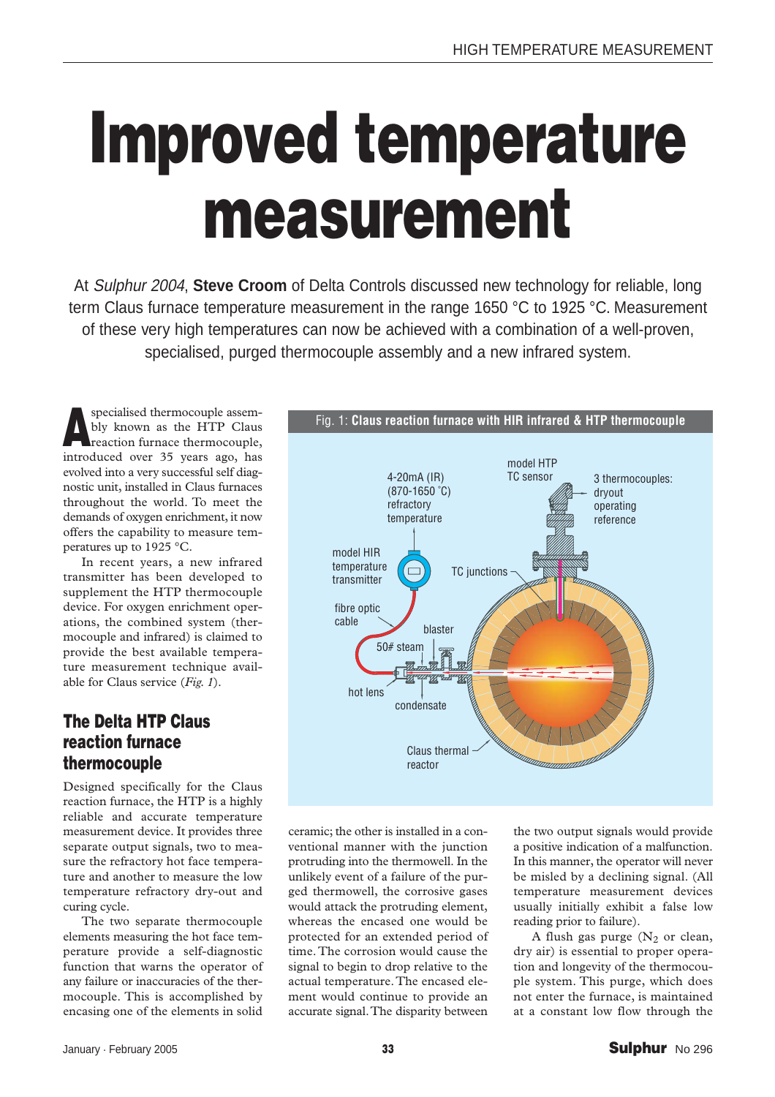## **Improved temperature measurement**

At Sulphur 2004, **Steve Croom** of Delta Controls discussed new technology for reliable, long term Claus furnace temperature measurement in the range 1650 °C to 1925 °C. Measurement of these very high temperatures can now be achieved with a combination of a well-proven, specialised, purged thermocouple assembly and a new infrared system.

**Aspecialised thermocouple assembly known as the HTP Claus reaction furnace thermocouple,** bly known as the HTP Claus introduced over 35 years ago, has evolved into a very successful self diagnostic unit, installed in Claus furnaces throughout the world. To meet the demands of oxygen enrichment, it now offers the capability to measure temperatures up to 1925 °C.

In recent years, a new infrared transmitter has been developed to supplement the HTP thermocouple device. For oxygen enrichment operations, the combined system (thermocouple and infrared) is claimed to provide the best available temperature measurement technique available for Claus service (*Fig. 1*).

## **The Delta HTP Claus reaction furnace thermocouple**

Designed specifically for the Claus reaction furnace, the HTP is a highly reliable and accurate temperature measurement device. It provides three separate output signals, two to measure the refractory hot face temperature and another to measure the low temperature refractory dry-out and curing cycle.

The two separate thermocouple elements measuring the hot face temperature provide a self-diagnostic function that warns the operator of any failure or inaccuracies of the thermocouple. This is accomplished by encasing one of the elements in solid



ceramic; the other is installed in a conventional manner with the junction protruding into the thermowell. In the unlikely event of a failure of the purged thermowell, the corrosive gases would attack the protruding element, whereas the encased one would be protected for an extended period of time.The corrosion would cause the signal to begin to drop relative to the actual temperature.The encased element would continue to provide an accurate signal.The disparity between

the two output signals would provide a positive indication of a malfunction. In this manner, the operator will never be misled by a declining signal. (All temperature measurement devices usually initially exhibit a false low reading prior to failure).

A flush gas purge  $(N_2 \text{ or clean})$ dry air) is essential to proper operation and longevity of the thermocouple system. This purge, which does not enter the furnace, is maintained at a constant low flow through the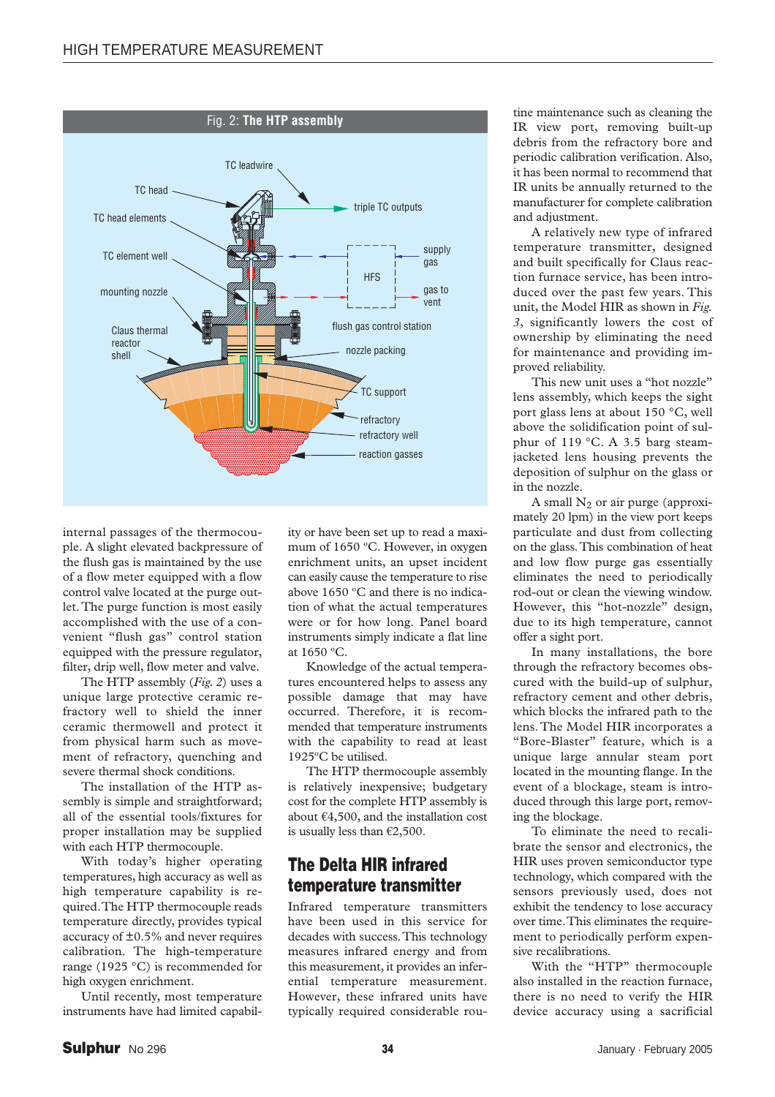

internal passages of the thermocouple. A slight elevated backpressure of the flush gas is maintained by the use of a flow meter equipped with a flow control valve located at the purge outlet.The purge function is most easily accomplished with the use of a convenient "flush gas" control station equipped with the pressure regulator, filter, drip well, flow meter and valve.

The HTP assembly (*Fig. 2*) uses a unique large protective ceramic refractory well to shield the inner ceramic thermowell and protect it from physical harm such as movement of refractory, quenching and severe thermal shock conditions.

The installation of the HTP assembly is simple and straightforward; all of the essential tools/fixtures for proper installation may be supplied with each HTP thermocouple.

With today's higher operating temperatures, high accuracy as well as high temperature capability is required.The HTP thermocouple reads temperature directly, provides typical accuracy of ±0.5% and never requires calibration. The high-temperature range (1925 °C) is recommended for high oxygen enrichment.

Until recently, most temperature instruments have had limited capability or have been set up to read a maximum of 1650 ºC. However, in oxygen enrichment units, an upset incident can easily cause the temperature to rise above 1650 ºC and there is no indication of what the actual temperatures were or for how long. Panel board instruments simply indicate a flat line at 1650 ºC.

Knowledge of the actual temperatures encountered helps to assess any possible damage that may have occurred. Therefore, it is recommended that temperature instruments with the capability to read at least 1925ºC be utilised.

The HTP thermocouple assembly is relatively inexpensive; budgetary cost for the complete HTP assembly is about  $\epsilon$ 4,500, and the installation cost is usually less than  $\mathcal{\}2,\!500.$ 

## **The Delta HIR infrared temperature transmitter**

Infrared temperature transmitters have been used in this service for decades with success.This technology measures infrared energy and from this measurement, it provides an inferential temperature measurement. However, these infrared units have typically required considerable routine maintenance such as cleaning the IR view port, removing built-up debris from the refractory bore and periodic calibration verification. Also, it has been normal to recommend that IR units be annually returned to the manufacturer for complete calibration and adjustment.

A relatively new type of infrared temperature transmitter, designed and built specifically for Claus reaction furnace service, has been introduced over the past few years. This unit, the Model HIR as shown in *Fig. 3*, significantly lowers the cost of ownership by eliminating the need for maintenance and providing improved reliability.

This new unit uses a "hot nozzle" lens assembly, which keeps the sight port glass lens at about 150 °C, well above the solidification point of sulphur of 119 °C. A 3.5 barg steamjacketed lens housing prevents the deposition of sulphur on the glass or in the nozzle.

A small  $N_2$  or air purge (approximately 20 lpm) in the view port keeps particulate and dust from collecting on the glass.This combination of heat and low flow purge gas essentially eliminates the need to periodically rod-out or clean the viewing window. However, this "hot-nozzle" design, due to its high temperature, cannot offer a sight port.

In many installations, the bore through the refractory becomes obscured with the build-up of sulphur, refractory cement and other debris, which blocks the infrared path to the lens. The Model HIR incorporates a "Bore-Blaster" feature, which is a unique large annular steam port located in the mounting flange. In the event of a blockage, steam is introduced through this large port, removing the blockage.

To eliminate the need to recalibrate the sensor and electronics, the HIR uses proven semiconductor type technology, which compared with the sensors previously used, does not exhibit the tendency to lose accuracy over time.This eliminates the requirement to periodically perform expensive recalibrations.

With the "HTP" thermocouple also installed in the reaction furnace, there is no need to verify the HIR device accuracy using a sacrificial